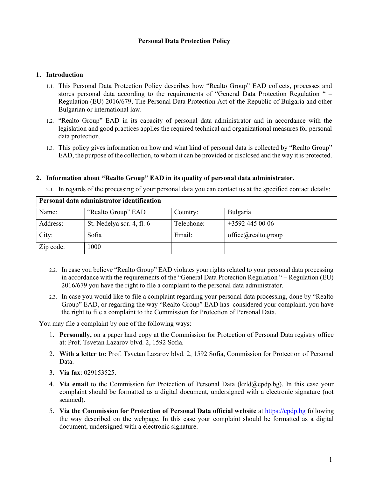## Personal Data Protection Policy

#### 1. Introduction

- 1.1. This Personal Data Protection Policy describes how "Realto Group" EAD collects, processes and stores personal data according to the requirements of "General Data Protection Regulation " – Regulation (ЕU) 2016/679, The Personal Data Protection Act of the Republic of Bulgaria and other Bulgarian or international law.
- 1.2. "Realto Group" EAD in its capacity of personal data administrator and in accordance with the legislation and good practices applies the required technical and organizational measures for personal data protection.
- 1.3. This policy gives information on how and what kind of personal data is collected by "Realto Group" EAD, the purpose of the collection, to whom it can be provided or disclosed and the way it is protected.

#### 2. Information about "Realto Group" EAD in its quality of personal data administrator.

2.1. In regards of the processing of your personal data you can contact us at the specified contact details:

| Personal data administrator identification |                           |            |                     |  |
|--------------------------------------------|---------------------------|------------|---------------------|--|
| Name:                                      | "Realto Group" EAD        | Country:   | Bulgaria            |  |
| Address:                                   | St. Nedelya sqr. 4, fl. 6 | Telephone: | $+35924450006$      |  |
| City:                                      | Sofia                     | Email:     | office@realto.group |  |
| Zip code:                                  | 1000                      |            |                     |  |

- 2.2. In case you believe "Realto Group" EAD violates your rights related to your personal data processing in accordance with the requirements of the "General Data Protection Regulation " – Regulation (ЕU) 2016/679 you have the right to file a complaint to the personal data administrator.
- 2.3. In case you would like to file a complaint regarding your personal data processing, done by "Realto Group" EAD, or regarding the way "Realto Group" EAD has considered your complaint, you have the right to file a complaint to the Commission for Protection of Personal Data.

You may file a complaint by one of the following ways:

- 1. Personally, on a paper hard copy at the Commission for Protection of Personal Data registry office at: Prof. Tsvetan Lazarov blvd. 2, 1592 Sofia.
- 2. With a letter to: Prof. Tsvetan Lazarov blvd. 2, 1592 Sofia, Commission for Protection of Personal Data.
- 3. Via fax: 029153525.
- 4. Via email to the Commission for Protection of Personal Data ( $kzld(\omega$ cpdp.bg). In this case your complaint should be formatted as a digital document, undersigned with a electronic signature (not scanned).
- 5. Via the Commission for Protection of Personal Data official website at **https://cpdp.bg** following the way described on the webpage. In this case your complaint should be formatted as a digital document, undersigned with a electronic signature.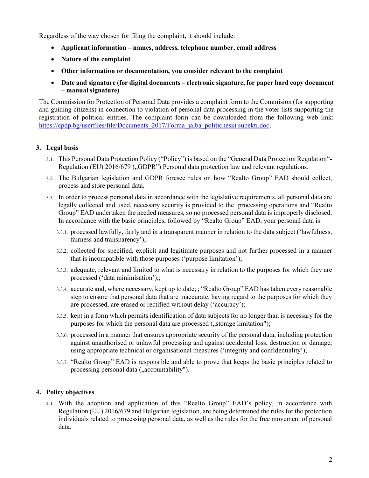Regardless of the way chosen for filing the complaint, it should include:

- Applicant information names, address, telephone number, email address
- Nature of the complaint
- Other information or documentation, you consider relevant to the complaint
- Date and signature (for digital documents electronic signature, for paper hard copy document – manual signature)

The Commission for Protection of Personal Data provides a complaint form to the Commision (for supporting and guiding citizens) in connection to violation of personal data processing in the voter lists supporting the registration of political entities. The complaint form can be downloaded from the following web link: https://cpdp.bg/userfiles/file/Documents\_2017/Forma\_jalba\_politicheski subekti.doc.

# 3. Legal basis

- 3.1. This Personal Data Protection Policy ("Policy") is based on the "General Data Protection Regulation"- Regulation (EU) 2016/679 ("GDPR") Personal data protection law and relevant regulations.
- 3.2. The Bulgarian legislation and GDPR foresee rules on how "Realto Group" EAD should collect, process and store personal data.
- 3.3. In order to process personal data in accordance with the legislative requirements, all personal data are legally collected and used, necessary security is provided to the processing operations and "Realto Group" EAD undertaken the needed measures, so no processed personal data is improperly disclosed. In accordance with the basic principles, followed by "Realto Group" EAD, your personal data is:
	- 3.3.1. processed lawfully, fairly and in a transparent manner in relation to the data subject ('lawfulness, fairness and transparency');
	- 3.3.2. collected for specified, explicit and legitimate purposes and not further processed in a manner that is incompatible with those purposes ('purpose limitation');
	- 3.3.3. adequate, relevant and limited to what is necessary in relation to the purposes for which they are processed ('data minimisation');;
	- 3.3.4. accurate and, where necessary, kept up to date; ; "Realto Group" EAD has taken every reasonable step to ensure that personal data that are inaccurate, having regard to the purposes for which they are processed, are erased or rectified without delay ('accuracy');
	- 3.3.5. kept in a form which permits identification of data subjects for no longer than is necessary for the purposes for which the personal data are processed ("storage limitation");
	- 3.3.6. processed in a manner that ensures appropriate security of the personal data, including protection against unauthorised or unlawful processing and against accidental loss, destruction or damage, using appropriate technical or organisational measures ('integrity and confidentiality');
	- 3.3.7. "Realto Group" EAD is responsible and able to prove that keeps the basic principles related to processing personal data ("accountability").

### 4. Policy objectives

4.1. With the adoption and application of this "Realto Group" EAD's policy, in accordance with Regulation (ЕU) 2016/679 and Bulgarian legislation, are being determined the rules for the protection individuals related to processing personal data, as well as the rules for the free movement of personal data.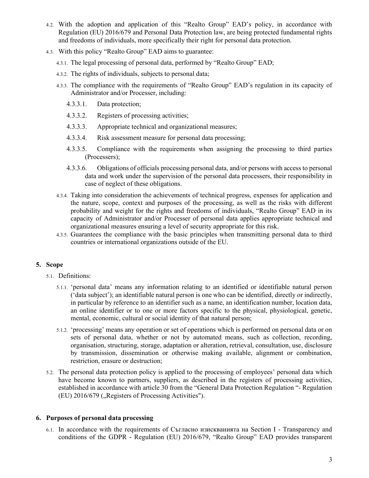- 4.2. With the adoption and application of this "Realto Group" EAD's policy, in accordance with Regulation (EU) 2016/679 and Personal Data Protection law, are being protected fundamental rights and freedoms of individuals, more specifically their right for personal data protection.
- 4.3. With this policy "Realto Group" EAD aims to guarantee:
	- 4.3.1. The legal processing of personal data, performed by "Realto Group" EAD;
	- 4.3.2. The rights of individuals, subjects to personal data;
	- 4.3.3. The compliance with the requirements of "Realto Group" EAD's regulation in its capacity of Administrator and/or Processer, including:
		- 4.3.3.1. Data protection;
		- 4.3.3.2. Registers of processing activities;
		- 4.3.3.3. Appropriate technical and organizational measures;
		- 4.3.3.4. Risk assessment measure for personal data processing;
		- 4.3.3.5. Compliance with the requirements when assigning the processing to third parties (Processers);
		- 4.3.3.6. Obligations of officials processing personal data, and/or persons with access to personal data and work under the supervision of the personal data processers, their responsibility in case of neglect of these obligations.
	- 4.3.4. Taking into consideration the achievements of technical progress, expenses for application and the nature, scope, context and purposes of the processing, as well as the risks with different probability and weight for the rights and freedoms of individuals, "Realto Group" EAD in its capacity of Administrator and/or Processer of personal data applies appropriate technical and organizational measures ensuring a level of security appropriate for this risk.
	- 4.3.5. Guarantees the compliance with the basic principles when transmitting personal data to third countries or international organizations outside of the EU.

### 5. Scope

- 5.1. Definitions:
	- 5.1.1. 'personal data' means any information relating to an identified or identifiable natural person ('data subject'); an identifiable natural person is one who can be identified, directly or indirectly, in particular by reference to an identifier such as a name, an identification number, location data, an online identifier or to one or more factors specific to the physical, physiological, genetic, mental, economic, cultural or social identity of that natural person;
	- 5.1.2. 'processing' means any operation or set of operations which is performed on personal data or on sets of personal data, whether or not by automated means, such as collection, recording, organisation, structuring, storage, adaptation or alteration, retrieval, consultation, use, disclosure by transmission, dissemination or otherwise making available, alignment or combination, restriction, erasure or destruction;
- 5.2. The personal data protection policy is applied to the processing of employees' personal data which have become known to partners, suppliers, as described in the registers of processing activities, established in accordance with article 30 from the "General Data Protection Regulation "- Regulation  $(EU)$  2016/679 ("Registers of Processing Activities").

### 6. Purposes of personal data processing

6.1. In accordance with the requirements of Съгласно изискванията на Section I - Transparency and conditions of the GDPR - Regulation (ЕU) 2016/679, "Realto Group" EAD provides transparent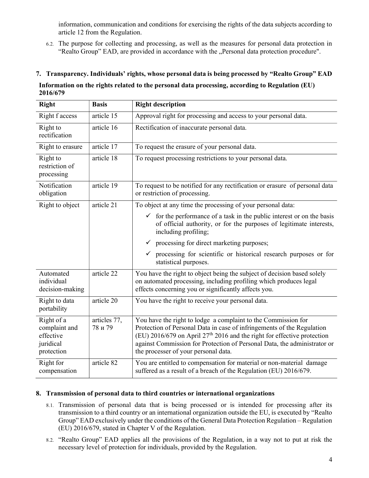information, communication and conditions for exercising the rights of the data subjects according to article 12 from the Regulation.

6.2. The purpose for collecting and processing, as well as the measures for personal data protection in "Realto Group" EAD, are provided in accordance with the "Personal data protection procedure".

### 7. Transparency. Individuals' rights, whose personal data is being processed by "Realto Group" EAD

#### Information on the rights related to the personal data processing, according to Regulation (ЕU) 2016/679

| <b>Right</b>                                                        | <b>Basis</b>            | <b>Right description</b>                                                                                                                                                                                                                                                                                                                 |  |
|---------------------------------------------------------------------|-------------------------|------------------------------------------------------------------------------------------------------------------------------------------------------------------------------------------------------------------------------------------------------------------------------------------------------------------------------------------|--|
| Right f access                                                      | article 15              | Approval right for processing and access to your personal data.                                                                                                                                                                                                                                                                          |  |
| Right to<br>rectification                                           | article 16              | Rectification of inaccurate personal data.                                                                                                                                                                                                                                                                                               |  |
| Right to erasure                                                    | article 17              | To request the erasure of your personal data.                                                                                                                                                                                                                                                                                            |  |
| Right to<br>restriction of<br>processing                            | article 18              | To request processing restrictions to your personal data.                                                                                                                                                                                                                                                                                |  |
| Notification<br>obligation                                          | article 19              | To request to be notified for any rectification or erasure of personal data<br>or restriction of processing.                                                                                                                                                                                                                             |  |
| Right to object                                                     | article 21              | To object at any time the processing of your personal data:                                                                                                                                                                                                                                                                              |  |
|                                                                     |                         | $\checkmark$ for the performance of a task in the public interest or on the basis<br>of official authority, or for the purposes of legitimate interests,<br>including profiling;                                                                                                                                                         |  |
|                                                                     |                         | processing for direct marketing purposes;<br>$\checkmark$                                                                                                                                                                                                                                                                                |  |
|                                                                     |                         | processing for scientific or historical research purposes or for<br>$\checkmark$<br>statistical purposes.                                                                                                                                                                                                                                |  |
| Automated<br>individual<br>decision-making                          | article 22              | You have the right to object being the subject of decision based solely<br>on automated processing, including profiling which produces legal<br>effects concerning you or significantly affects you.                                                                                                                                     |  |
| Right to data<br>portability                                        | article 20              | You have the right to receive your personal data.                                                                                                                                                                                                                                                                                        |  |
| Right of a<br>complaint and<br>effective<br>juridical<br>protection | articles 77,<br>78 и 79 | You have the right to lodge a complaint to the Commission for<br>Protection of Personal Data in case of infringements of the Regulation<br>(EU) 2016/679 on April $27th$ 2016 and the right for effective protection<br>against Commission for Protection of Personal Data, the administrator or<br>the processer of your personal data. |  |
| Right for<br>compensation                                           | article 82              | You are entitled to compensation for material or non-material damage<br>suffered as a result of a breach of the Regulation (EU) 2016/679.                                                                                                                                                                                                |  |

### 8. Transmission of personal data to third countries or international organizations

- 8.1. Transmission of personal data that is being processed or is intended for processing after its transmission to a third country or an international organization outside the EU, is executed by "Realto Group" EAD exclusively under the conditions of the General Data Protection Regulation – Regulation (ЕU) 2016/679, stated in Chapter V of the Regulation.
- 8.2. "Realto Group" EAD applies all the provisions of the Regulation, in a way not to put at risk the necessary level of protection for individuals, provided by the Regulation.